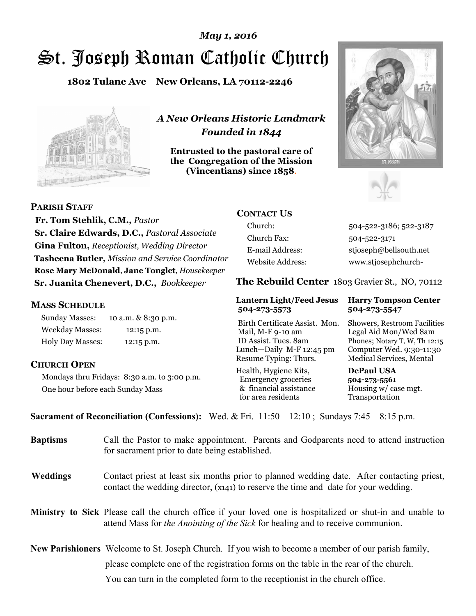# St. Joseph Roman Catholic Church *May 1, 2016*

**1802 Tulane Ave New Orleans, LA 70112-2246**



*A New Orleans Historic Landmark Founded in 1844* 

**Entrusted to the pastoral care of the Congregation of the Mission (Vincentians) since 1858**.





**PARISH STAFF**

 **Fr. Tom Stehlik, C.M.,** *Pastor* **Sr. Claire Edwards, D.C.,** *Pastoral Associate* **Gina Fulton,** *Receptionist, Wedding Director* **Tasheena Butler,** *Mission and Service Coordinator* **Rose Mary McDonald**, **Jane Tonglet**, *Housekeeper* **Sr. Juanita Chenevert, D.C.,** *Bookkeeper* 

#### **MASS SCHEDULE**

Sunday Masses: 10 a.m. & 8:30 p.m. Weekday Masses: 12:15 p.m. Holy Day Masses: 12:15 p.m.

#### **CHURCH OPEN**

Mondays thru Fridays: 8:30 a.m. to 3:00 p.m. One hour before each Sunday Mass

## **CONTACT US**

Church: 504-522-3186; 522-3187 Church Fax: 504-522-3171 E-mail Address: stjoseph@bellsouth.net Website Address: www.stjosephchurch-

**The Rebuild Center** 1803 Gravier St., NO, 70112

#### **Lantern Light/Feed Jesus Harry Tompson Center 504-273-5573 504-273-5547**

Birth Certificate Assist. Mon. Showers, Restroom Facilities Mail, M-F 9-10 am Legal Aid Mon/Wed 8am ID Assist. Tues. 8am Phones; Notary T, W, Th 12:15 Lunch—Daily M-F 12:45 pm Computer Wed. 9:30-11:30 Resume Typing: Thurs. Medical Services, Mental

Health, Hygiene Kits, **DePaul USA**  Emergency groceries **504-273-5561** & financial assistance Housing w/ case mgt. for area residents Transportation

**Sacrament of Reconciliation (Confessions):** Wed. & Fri. 11:50—12:10 ; Sundays 7:45—8:15 p.m.

| <b>Baptisms</b> | Call the Pastor to make appointment. Parents and Godparents need to attend instruction<br>for sacrament prior to date being established.                                                                   |
|-----------------|------------------------------------------------------------------------------------------------------------------------------------------------------------------------------------------------------------|
| <b>Weddings</b> | Contact priest at least six months prior to planned wedding date. After contacting priest,<br>contact the wedding director, (x141) to reserve the time and date for your wedding.                          |
|                 | <b>Ministry to Sick</b> Please call the church office if your loved one is hospitalized or shut-in and unable to<br>attend Mass for <i>the Anointing of the Sick</i> for healing and to receive communion. |
|                 | <b>New Parishioners</b> Welcome to St. Joseph Church. If you wish to become a member of our parish family,                                                                                                 |
|                 | please complete one of the registration forms on the table in the rear of the church.                                                                                                                      |
|                 | You can turn in the completed form to the reception is the church office.                                                                                                                                  |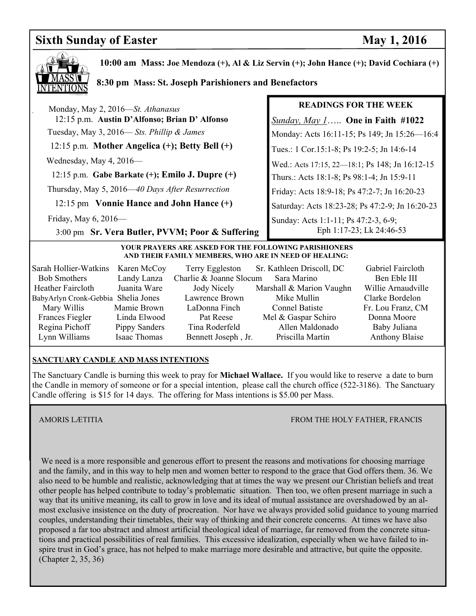# **Sixth Sunday of Easter May 1, 2016**



 **10:00 am Mass: Joe Mendoza (+), Al & Liz Servin (+); John Hance (+); David Cochiara (+)**

#### **8:30 pm Mass: St. Joseph Parishioners and Benefactors**

 Monday, May 2, 2016—*St. Athanasus* 12:15 p.m. **Austin D'Alfonso; Brian D' Alfonso** Tuesday, May 3, 2016— *Sts. Phillip & James* 12:15 p.m. **Mother Angelica (+); Betty Bell (+)** Wednesday, May 4, 2016—

 12:15 p.m. **Gabe Barkate (+); Emilo J. Dupre (+)** Thursday, May 5, 2016—*40 Days After Resurrection*

12:15 pm **Vonnie Hance and John Hance (+)** 

3:00 pm **Sr. Vera Butler, PVVM; Poor & Suffering** 

Friday, May 6, 2016—

#### **READINGS FOR THE WEEK**

*Sunday, May 1*….. **One in Faith #1022** Monday: Acts 16:11-15; Ps 149; Jn 15:26—16:4 Tues.: 1 Cor.15:1-8; Ps 19:2-5; Jn 14:6-14 Wed.: Acts 17:15, 22—18:1; Ps 148; Jn 16:12-15 Thurs.: Acts 18:1-8; Ps 98:1-4; Jn 15:9-11 Friday: Acts 18:9-18; Ps 47:2-7; Jn 16:20-23 Saturday: Acts 18:23-28; Ps 47:2-9; Jn 16:20-23 Sunday: Acts 1:1-11; Ps 47:2-3, 6-9; Eph 1:17-23; Lk 24:46-53

#### **YOUR PRAYERS ARE ASKED FOR THE FOLLOWING PARISHIONERS AND THEIR FAMILY MEMBERS, WHO ARE IN NEED OF HEALING:**

| Sarah Hollier-Watkins               | Karen McCoy   | Terry Eggleston         | Sr. Kathleen Driscoll, DC | Gabriel Faircloth     |
|-------------------------------------|---------------|-------------------------|---------------------------|-----------------------|
| <b>Bob Smothers</b>                 | Landy Lanza   | Charlie & Joanne Slocum | Sara Marino               | Ben Eble III          |
| Heather Faircloth                   | Juanita Ware  | Jody Nicely             | Marshall & Marion Vaughn  | Willie Arnaudville    |
| BabyArlyn Cronk-Gebbia Shelia Jones |               | Lawrence Brown          | Mike Mullin               | Clarke Bordelon       |
| Mary Willis                         | Mamie Brown   | LaDonna Finch           | <b>Connel Batiste</b>     | Fr. Lou Franz, CM     |
| Frances Fiegler                     | Linda Elwood  | Pat Reese               | Mel & Gaspar Schiro       | Donna Moore           |
| Regina Pichoff                      | Pippy Sanders | Tina Roderfeld          | Allen Maldonado           | Baby Juliana          |
| Lynn Williams                       | Isaac Thomas  | Bennett Joseph, Jr.     | Priscilla Martin          | <b>Anthony Blaise</b> |

#### **SANCTUARY CANDLE AND MASS INTENTIONS**

The Sanctuary Candle is burning this week to pray for **Michael Wallace.** If you would like to reserve a date to burn the Candle in memory of someone or for a special intention, please call the church office (522-3186). The Sanctuary Candle offering is \$15 for 14 days. The offering for Mass intentions is \$5.00 per Mass.

AMORIS LÆTITIA FROM THE HOLY FATHER, FRANCIS

 We need is a more responsible and generous effort to present the reasons and motivations for choosing marriage and the family, and in this way to help men and women better to respond to the grace that God offers them. 36. We also need to be humble and realistic, acknowledging that at times the way we present our Christian beliefs and treat other people has helped contribute to today's problematic situation. Then too, we often present marriage in such a way that its unitive meaning, its call to grow in love and its ideal of mutual assistance are overshadowed by an almost exclusive insistence on the duty of procreation. Nor have we always provided solid guidance to young married couples, understanding their timetables, their way of thinking and their concrete concerns. At times we have also proposed a far too abstract and almost artificial theological ideal of marriage, far removed from the concrete situations and practical possibilities of real families. This excessive idealization, especially when we have failed to inspire trust in God's grace, has not helped to make marriage more desirable and attractive, but quite the opposite. (Chapter 2, 35, 36)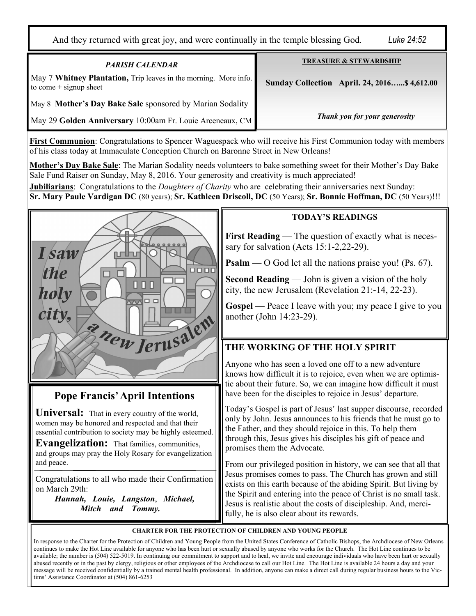And they returned with great joy, and were continually in the temple blessing God. *Luke 24:52* 

| <b>PARISH CALENDAR</b>                                                                       | <b>TREASURE &amp; STEWARDSHIP</b>                   |
|----------------------------------------------------------------------------------------------|-----------------------------------------------------|
| May 7 Whitney Plantation, Trip leaves in the morning. More info.<br>to come $+$ signup sheet | <b>Sunday Collection April. 24, 2016 \$4,612.00</b> |
| May 8 Mother's Day Bake Sale sponsored by Marian Sodality                                    |                                                     |
| May 29 Golden Anniversary 10:00am Fr. Louie Arceneaux, CM                                    | Thank you for your generosity                       |

**First Communion**: Congratulations to Spencer Waguespack who will receive his First Communion today with members of his class today at Immaculate Conception Church on Baronne Street in New Orleans!

**Mother's Day Bake Sale**: The Marian Sodality needs volunteers to bake something sweet for their Mother's Day Bake Sale Fund Raiser on Sunday, May 8, 2016. Your generosity and creativity is much appreciated!

**Jubiliarians**: Congratulations to the *Daughters of Charity* who are celebrating their anniversaries next Sunday: **Sr. Mary Paule Vardigan DC** (80 years); **Sr. Kathleen Driscoll, DC** (50 Years); **Sr. Bonnie Hoffman, DC** (50 Years)!!!



# **Pope Francis' April Intentions**

**Universal:** That in every country of the world, women may be honored and respected and that their essential contribution to society may be highly esteemed.

**Evangelization:** That families, communities, and groups may pray the Holy Rosary for evangelization and peace.

Congratulations to all who made their Confirmation on March 29th:

 *Hannah, Louie, Langston*, *Michael, Mitch and Tommy.*

### **TODAY'S READINGS**

**First Reading** — The question of exactly what is necessary for salvation (Acts 15:1-2,22-29).

**Psalm** — O God let all the nations praise you! (Ps. 67).

**Second Reading** — John is given a vision of the holy city, the new Jerusalem (Revelation 21:-14, 22-23).

**Gospel** — Peace I leave with you; my peace I give to you another (John 14:23-29).

# **THE WORKING OF THE HOLY SPIRIT**

Anyone who has seen a loved one off to a new adventure knows how difficult it is to rejoice, even when we are optimistic about their future. So, we can imagine how difficult it must have been for the disciples to rejoice in Jesus' departure.

Today's Gospel is part of Jesus' last supper discourse, recorded only by John. Jesus announces to his friends that he must go to the Father, and they should rejoice in this. To help them through this, Jesus gives his disciples his gift of peace and promises them the Advocate.

From our privileged position in history, we can see that all that Jesus promises comes to pass. The Church has grown and still exists on this earth because of the abiding Spirit. But living by the Spirit and entering into the peace of Christ is no small task. Jesus is realistic about the costs of discipleship. And, mercifully, he is also clear about its rewards.

#### **CHARTER FOR THE PROTECTION OF CHILDREN AND YOUNG PEOPLE**

In response to the Charter for the Protection of Children and Young People from the United States Conference of Catholic Bishops, the Archdiocese of New Orleans continues to make the Hot Line available for anyone who has been hurt or sexually abused by anyone who works for the Church. The Hot Line continues to be available; the number is (504) 522-5019. In continuing our commitment to support and to heal, we invite and encourage individuals who have been hurt or sexually abused recently or in the past by clergy, religious or other employees of the Archdiocese to call our Hot Line. The Hot Line is available 24 hours a day and your message will be received confidentially by a trained mental health professional. In addition, anyone can make a direct call during regular business hours to the Victims' Assistance Coordinator at (504) 861-6253